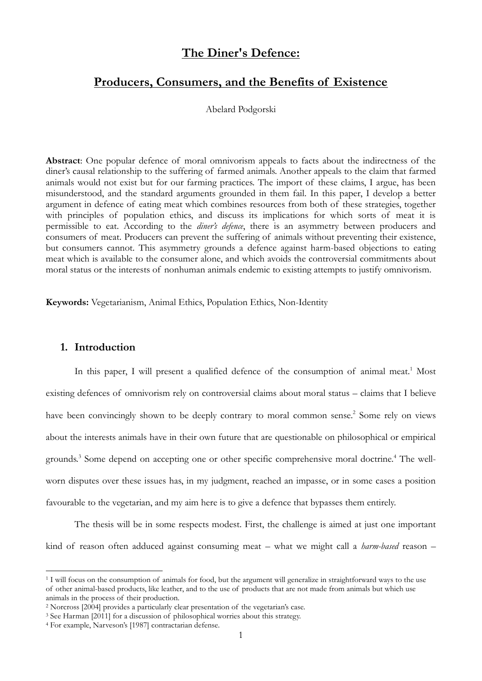# **The Diner's Defence:**

## **Producers, Consumers, and the Benefits of Existence**

Abelard Podgorski

**Abstract**: One popular defence of moral omnivorism appeals to facts about the indirectness of the diner's causal relationship to the suffering of farmed animals. Another appeals to the claim that farmed animals would not exist but for our farming practices. The import of these claims, I argue, has been misunderstood, and the standard arguments grounded in them fail. In this paper, I develop a better argument in defence of eating meat which combines resources from both of these strategies, together with principles of population ethics, and discuss its implications for which sorts of meat it is permissible to eat. According to the *diner's defence*, there is an asymmetry between producers and consumers of meat. Producers can prevent the suffering of animals without preventing their existence, but consumers cannot. This asymmetry grounds a defence against harm-based objections to eating meat which is available to the consumer alone, and which avoids the controversial commitments about moral status or the interests of nonhuman animals endemic to existing attempts to justify omnivorism.

**Keywords:** Vegetarianism, Animal Ethics, Population Ethics, Non-Identity

#### **1. Introduction**

-

In this paper, I will present a qualified defence of the consumption of animal meat.<sup>1</sup> Most existing defences of omnivorism rely on controversial claims about moral status – claims that I believe have been convincingly shown to be deeply contrary to moral common sense.<sup>2</sup> Some rely on views about the interests animals have in their own future that are questionable on philosophical or empirical grounds.<sup>3</sup> Some depend on accepting one or other specific comprehensive moral doctrine.<sup>4</sup> The wellworn disputes over these issues has, in my judgment, reached an impasse, or in some cases a position favourable to the vegetarian, and my aim here is to give a defence that bypasses them entirely.

The thesis will be in some respects modest. First, the challenge is aimed at just one important kind of reason often adduced against consuming meat – what we might call a *harm-based* reason –

<sup>&</sup>lt;sup>1</sup> I will focus on the consumption of animals for food, but the argument will generalize in straightforward ways to the use of other animal-based products, like leather, and to the use of products that are not made from animals but which use animals in the process of their production.

<sup>2</sup> Norcross [2004] provides a particularly clear presentation of the vegetarian's case.

<sup>&</sup>lt;sup>3</sup> See Harman [2011] for a discussion of philosophical worries about this strategy.

<sup>4</sup> For example, Narveson's [1987] contractarian defense.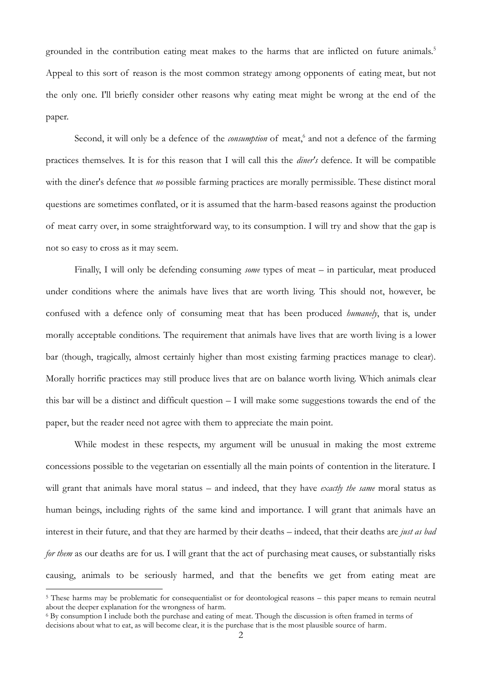grounded in the contribution eating meat makes to the harms that are inflicted on future animals. 5 Appeal to this sort of reason is the most common strategy among opponents of eating meat, but not the only one. I'll briefly consider other reasons why eating meat might be wrong at the end of the paper.

Second, it will only be a defence of the *consumption* of meat,<sup>6</sup> and not a defence of the farming practices themselves. It is for this reason that I will call this the *diner's* defence. It will be compatible with the diner's defence that *no* possible farming practices are morally permissible. These distinct moral questions are sometimes conflated, or it is assumed that the harm-based reasons against the production of meat carry over, in some straightforward way, to its consumption. I will try and show that the gap is not so easy to cross as it may seem.

Finally, I will only be defending consuming *some* types of meat – in particular, meat produced under conditions where the animals have lives that are worth living. This should not, however, be confused with a defence only of consuming meat that has been produced *humanely*, that is, under morally acceptable conditions. The requirement that animals have lives that are worth living is a lower bar (though, tragically, almost certainly higher than most existing farming practices manage to clear). Morally horrific practices may still produce lives that are on balance worth living. Which animals clear this bar will be a distinct and difficult question – I will make some suggestions towards the end of the paper, but the reader need not agree with them to appreciate the main point.

While modest in these respects, my argument will be unusual in making the most extreme concessions possible to the vegetarian on essentially all the main points of contention in the literature. I will grant that animals have moral status – and indeed, that they have *exactly the same* moral status as human beings, including rights of the same kind and importance. I will grant that animals have an interest in their future, and that they are harmed by their deaths – indeed, that their deaths are *just as bad for them* as our deaths are for us. I will grant that the act of purchasing meat causes, or substantially risks causing, animals to be seriously harmed, and that the benefits we get from eating meat are

<sup>5</sup> These harms may be problematic for consequentialist or for deontological reasons – this paper means to remain neutral about the deeper explanation for the wrongness of harm.

<sup>6</sup> By consumption I include both the purchase and eating of meat. Though the discussion is often framed in terms of decisions about what to eat, as will become clear, it is the purchase that is the most plausible source of harm.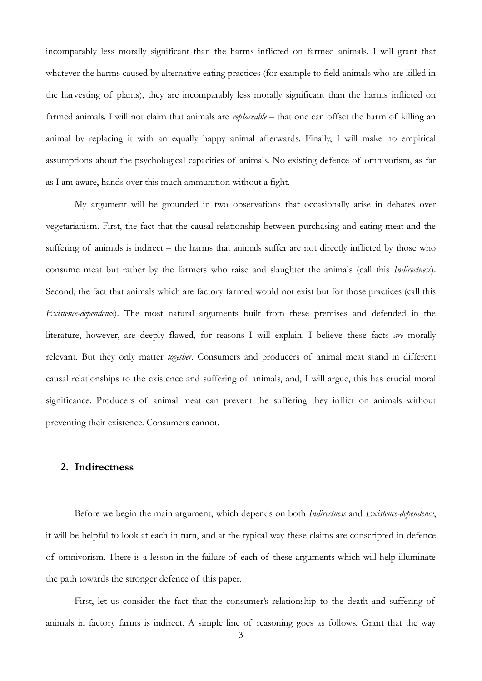incomparably less morally significant than the harms inflicted on farmed animals. I will grant that whatever the harms caused by alternative eating practices (for example to field animals who are killed in the harvesting of plants), they are incomparably less morally significant than the harms inflicted on farmed animals. I will not claim that animals are *replaceable* – that one can offset the harm of killing an animal by replacing it with an equally happy animal afterwards. Finally, I will make no empirical assumptions about the psychological capacities of animals. No existing defence of omnivorism, as far as I am aware, hands over this much ammunition without a fight.

My argument will be grounded in two observations that occasionally arise in debates over vegetarianism. First, the fact that the causal relationship between purchasing and eating meat and the suffering of animals is indirect – the harms that animals suffer are not directly inflicted by those who consume meat but rather by the farmers who raise and slaughter the animals (call this *Indirectness*). Second, the fact that animals which are factory farmed would not exist but for those practices (call this *Existence-dependence*). The most natural arguments built from these premises and defended in the literature, however, are deeply flawed, for reasons I will explain. I believe these facts *are* morally relevant. But they only matter *together*. Consumers and producers of animal meat stand in different causal relationships to the existence and suffering of animals, and, I will argue, this has crucial moral significance. Producers of animal meat can prevent the suffering they inflict on animals without preventing their existence. Consumers cannot.

#### **2. Indirectness**

Before we begin the main argument, which depends on both *Indirectness* and *Existence-dependence*, it will be helpful to look at each in turn, and at the typical way these claims are conscripted in defence of omnivorism. There is a lesson in the failure of each of these arguments which will help illuminate the path towards the stronger defence of this paper.

First, let us consider the fact that the consumer's relationship to the death and suffering of animals in factory farms is indirect. A simple line of reasoning goes as follows. Grant that the way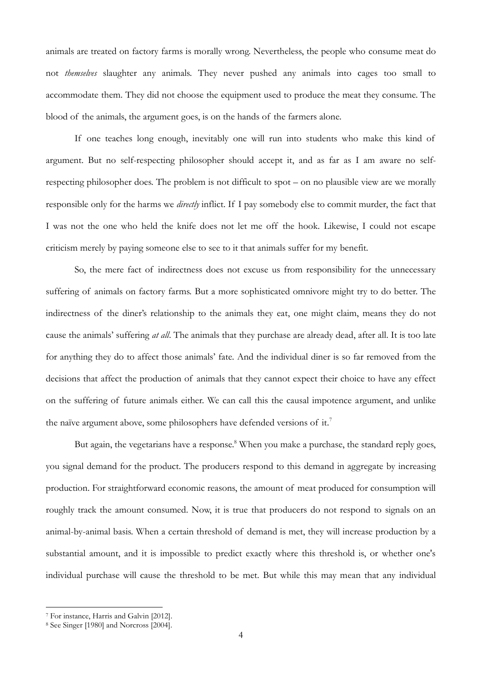animals are treated on factory farms is morally wrong. Nevertheless, the people who consume meat do not *themselves* slaughter any animals. They never pushed any animals into cages too small to accommodate them. They did not choose the equipment used to produce the meat they consume. The blood of the animals, the argument goes, is on the hands of the farmers alone.

If one teaches long enough, inevitably one will run into students who make this kind of argument. But no self-respecting philosopher should accept it, and as far as I am aware no selfrespecting philosopher does. The problem is not difficult to spot – on no plausible view are we morally responsible only for the harms we *directly* inflict. If I pay somebody else to commit murder, the fact that I was not the one who held the knife does not let me off the hook. Likewise, I could not escape criticism merely by paying someone else to see to it that animals suffer for my benefit.

So, the mere fact of indirectness does not excuse us from responsibility for the unnecessary suffering of animals on factory farms. But a more sophisticated omnivore might try to do better. The indirectness of the diner's relationship to the animals they eat, one might claim, means they do not cause the animals' suffering *at all*. The animals that they purchase are already dead, after all. It is too late for anything they do to affect those animals' fate. And the individual diner is so far removed from the decisions that affect the production of animals that they cannot expect their choice to have any effect on the suffering of future animals either. We can call this the causal impotence argument, and unlike the naïve argument above, some philosophers have defended versions of it.<sup>7</sup>

But again, the vegetarians have a response.<sup>8</sup> When you make a purchase, the standard reply goes, you signal demand for the product. The producers respond to this demand in aggregate by increasing production. For straightforward economic reasons, the amount of meat produced for consumption will roughly track the amount consumed. Now, it is true that producers do not respond to signals on an animal-by-animal basis. When a certain threshold of demand is met, they will increase production by a substantial amount, and it is impossible to predict exactly where this threshold is, or whether one's individual purchase will cause the threshold to be met. But while this may mean that any individual

<sup>7</sup> For instance, Harris and Galvin [2012].

<sup>8</sup> See Singer [1980] and Norcross [2004].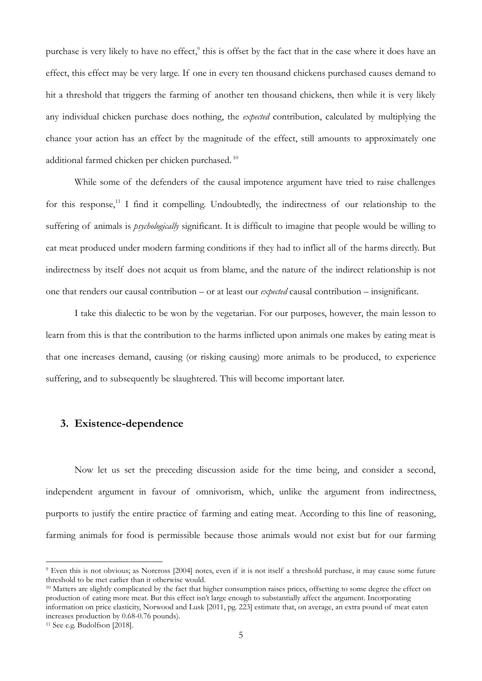purchase is very likely to have no effect,<sup>9</sup> this is offset by the fact that in the case where it does have an effect, this effect may be very large. If one in every ten thousand chickens purchased causes demand to hit a threshold that triggers the farming of another ten thousand chickens, then while it is very likely any individual chicken purchase does nothing, the *expected* contribution, calculated by multiplying the chance your action has an effect by the magnitude of the effect, still amounts to approximately one additional farmed chicken per chicken purchased. <sup>10</sup>

While some of the defenders of the causal impotence argument have tried to raise challenges for this response,<sup>11</sup> I find it compelling. Undoubtedly, the indirectness of our relationship to the suffering of animals is *psychologically* significant. It is difficult to imagine that people would be willing to eat meat produced under modern farming conditions if they had to inflict all of the harms directly. But indirectness by itself does not acquit us from blame, and the nature of the indirect relationship is not one that renders our causal contribution – or at least our *expected* causal contribution – insignificant.

I take this dialectic to be won by the vegetarian. For our purposes, however, the main lesson to learn from this is that the contribution to the harms inflicted upon animals one makes by eating meat is that one increases demand, causing (or risking causing) more animals to be produced, to experience suffering, and to subsequently be slaughtered. This will become important later.

## **3. Existence-dependence**

Now let us set the preceding discussion aside for the time being, and consider a second, independent argument in favour of omnivorism, which, unlike the argument from indirectness, purports to justify the entire practice of farming and eating meat. According to this line of reasoning, farming animals for food is permissible because those animals would not exist but for our farming

<sup>9</sup> Even this is not obvious; as Norcross [2004] notes, even if it is not itself a threshold purchase, it may cause some future threshold to be met earlier than it otherwise would.

<sup>&</sup>lt;sup>10</sup> Matters are slightly complicated by the fact that higher consumption raises prices, offsetting to some degree the effect on production of eating more meat. But this effect isn't large enough to substantially affect the argument. Incorporating information on price elasticity, Norwood and Lusk [2011, pg. 223] estimate that, on average, an extra pound of meat eaten increases production by 0.68-0.76 pounds).

<sup>11</sup> See e.g. Budolfson [2018].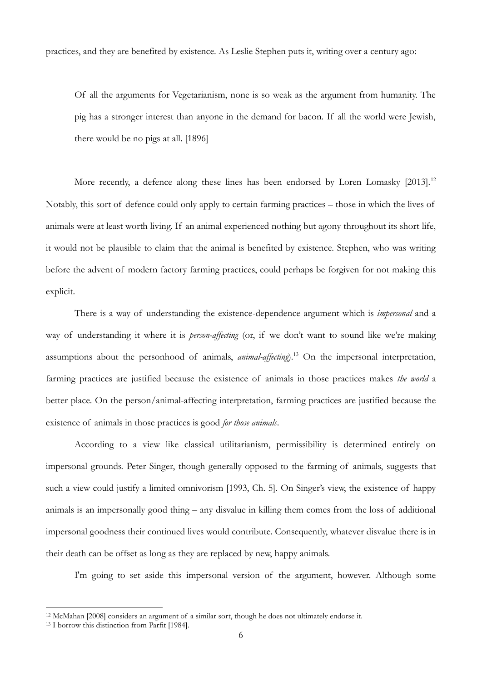practices, and they are benefited by existence. As Leslie Stephen puts it, writing over a century ago:

Of all the arguments for Vegetarianism, none is so weak as the argument from humanity. The pig has a stronger interest than anyone in the demand for bacon. If all the world were Jewish, there would be no pigs at all. [1896]

More recently, a defence along these lines has been endorsed by Loren Lomasky [2013].<sup>12</sup> Notably, this sort of defence could only apply to certain farming practices – those in which the lives of animals were at least worth living. If an animal experienced nothing but agony throughout its short life, it would not be plausible to claim that the animal is benefited by existence. Stephen, who was writing before the advent of modern factory farming practices, could perhaps be forgiven for not making this explicit.

There is a way of understanding the existence-dependence argument which is *impersonal* and a way of understanding it where it is *person-affecting* (or, if we don't want to sound like we're making assumptions about the personhood of animals, *animal-affecting*).<sup>13</sup> On the impersonal interpretation, farming practices are justified because the existence of animals in those practices makes *the world* a better place. On the person/animal-affecting interpretation, farming practices are justified because the existence of animals in those practices is good *for those animals*.

According to a view like classical utilitarianism, permissibility is determined entirely on impersonal grounds. Peter Singer, though generally opposed to the farming of animals, suggests that such a view could justify a limited omnivorism [1993, Ch. 5]. On Singer's view, the existence of happy animals is an impersonally good thing – any disvalue in killing them comes from the loss of additional impersonal goodness their continued lives would contribute. Consequently, whatever disvalue there is in their death can be offset as long as they are replaced by new, happy animals.

I'm going to set aside this impersonal version of the argument, however. Although some

<sup>12</sup> McMahan [2008] considers an argument of a similar sort, though he does not ultimately endorse it.

<sup>13</sup> I borrow this distinction from Parfit [1984].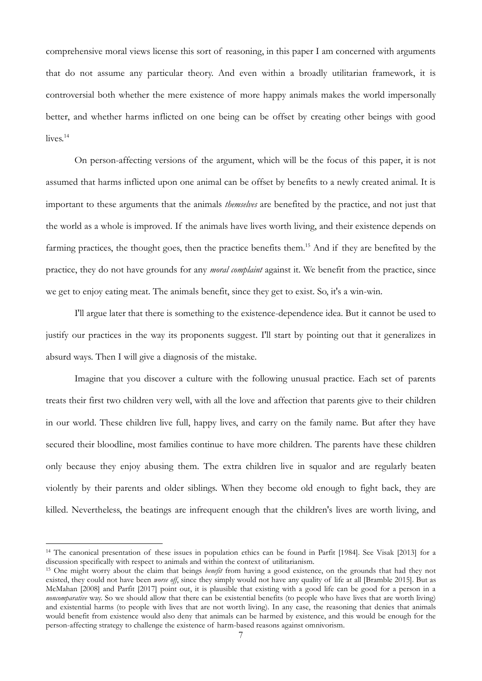comprehensive moral views license this sort of reasoning, in this paper I am concerned with arguments that do not assume any particular theory. And even within a broadly utilitarian framework, it is controversial both whether the mere existence of more happy animals makes the world impersonally better, and whether harms inflicted on one being can be offset by creating other beings with good lives.<sup>14</sup>

On person-affecting versions of the argument, which will be the focus of this paper, it is not assumed that harms inflicted upon one animal can be offset by benefits to a newly created animal. It is important to these arguments that the animals *themselves* are benefited by the practice, and not just that the world as a whole is improved. If the animals have lives worth living, and their existence depends on farming practices, the thought goes, then the practice benefits them.<sup>15</sup> And if they are benefited by the practice, they do not have grounds for any *moral complaint* against it. We benefit from the practice, since we get to enjoy eating meat. The animals benefit, since they get to exist. So, it's a win-win.

I'll argue later that there is something to the existence-dependence idea. But it cannot be used to justify our practices in the way its proponents suggest. I'll start by pointing out that it generalizes in absurd ways. Then I will give a diagnosis of the mistake.

Imagine that you discover a culture with the following unusual practice. Each set of parents treats their first two children very well, with all the love and affection that parents give to their children in our world. These children live full, happy lives, and carry on the family name. But after they have secured their bloodline, most families continue to have more children. The parents have these children only because they enjoy abusing them. The extra children live in squalor and are regularly beaten violently by their parents and older siblings. When they become old enough to fight back, they are killed. Nevertheless, the beatings are infrequent enough that the children's lives are worth living, and

<sup>&</sup>lt;sup>14</sup> The canonical presentation of these issues in population ethics can be found in Parfit [1984]. See Visak [2013] for a discussion specifically with respect to animals and within the context of utilitarianism.

<sup>15</sup> One might worry about the claim that beings *benefit* from having a good existence, on the grounds that had they not existed, they could not have been *worse off*, since they simply would not have any quality of life at all [Bramble 2015]. But as McMahan [2008] and Parfit [2017] point out, it is plausible that existing with a good life can be good for a person in a *noncomparative* way. So we should allow that there can be existential benefits (to people who have lives that are worth living) and existential harms (to people with lives that are not worth living). In any case, the reasoning that denies that animals would benefit from existence would also deny that animals can be harmed by existence, and this would be enough for the person-affecting strategy to challenge the existence of harm-based reasons against omnivorism.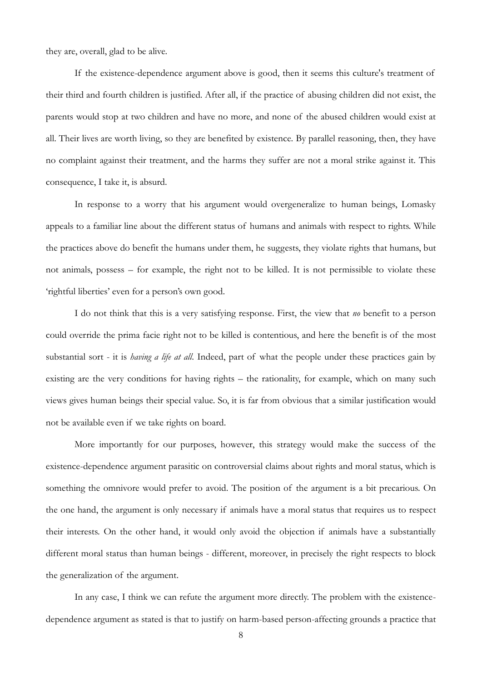they are, overall, glad to be alive.

If the existence-dependence argument above is good, then it seems this culture's treatment of their third and fourth children is justified. After all, if the practice of abusing children did not exist, the parents would stop at two children and have no more, and none of the abused children would exist at all. Their lives are worth living, so they are benefited by existence. By parallel reasoning, then, they have no complaint against their treatment, and the harms they suffer are not a moral strike against it. This consequence, I take it, is absurd.

In response to a worry that his argument would overgeneralize to human beings, Lomasky appeals to a familiar line about the different status of humans and animals with respect to rights. While the practices above do benefit the humans under them, he suggests, they violate rights that humans, but not animals, possess – for example, the right not to be killed. It is not permissible to violate these 'rightful liberties' even for a person's own good.

I do not think that this is a very satisfying response. First, the view that *no* benefit to a person could override the prima facie right not to be killed is contentious, and here the benefit is of the most substantial sort - it is *having a life at all*. Indeed, part of what the people under these practices gain by existing are the very conditions for having rights – the rationality, for example, which on many such views gives human beings their special value. So, it is far from obvious that a similar justification would not be available even if we take rights on board.

More importantly for our purposes, however, this strategy would make the success of the existence-dependence argument parasitic on controversial claims about rights and moral status, which is something the omnivore would prefer to avoid. The position of the argument is a bit precarious. On the one hand, the argument is only necessary if animals have a moral status that requires us to respect their interests. On the other hand, it would only avoid the objection if animals have a substantially different moral status than human beings - different, moreover, in precisely the right respects to block the generalization of the argument.

In any case, I think we can refute the argument more directly. The problem with the existencedependence argument as stated is that to justify on harm-based person-affecting grounds a practice that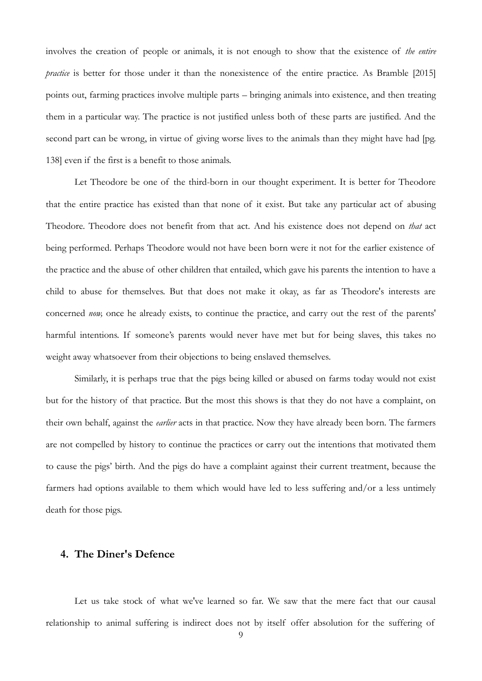involves the creation of people or animals, it is not enough to show that the existence of *the entire practice* is better for those under it than the nonexistence of the entire practice. As Bramble [2015] points out, farming practices involve multiple parts – bringing animals into existence, and then treating them in a particular way. The practice is not justified unless both of these parts are justified. And the second part can be wrong, in virtue of giving worse lives to the animals than they might have had [pg. 138] even if the first is a benefit to those animals.

Let Theodore be one of the third-born in our thought experiment. It is better for Theodore that the entire practice has existed than that none of it exist. But take any particular act of abusing Theodore. Theodore does not benefit from that act. And his existence does not depend on *that* act being performed. Perhaps Theodore would not have been born were it not for the earlier existence of the practice and the abuse of other children that entailed, which gave his parents the intention to have a child to abuse for themselves. But that does not make it okay, as far as Theodore's interests are concerned *now,* once he already exists, to continue the practice, and carry out the rest of the parents' harmful intentions. If someone's parents would never have met but for being slaves, this takes no weight away whatsoever from their objections to being enslaved themselves.

Similarly, it is perhaps true that the pigs being killed or abused on farms today would not exist but for the history of that practice. But the most this shows is that they do not have a complaint, on their own behalf, against the *earlier* acts in that practice. Now they have already been born. The farmers are not compelled by history to continue the practices or carry out the intentions that motivated them to cause the pigs' birth. And the pigs do have a complaint against their current treatment, because the farmers had options available to them which would have led to less suffering and/or a less untimely death for those pigs.

#### **4. The Diner's Defence**

Let us take stock of what we've learned so far. We saw that the mere fact that our causal relationship to animal suffering is indirect does not by itself offer absolution for the suffering of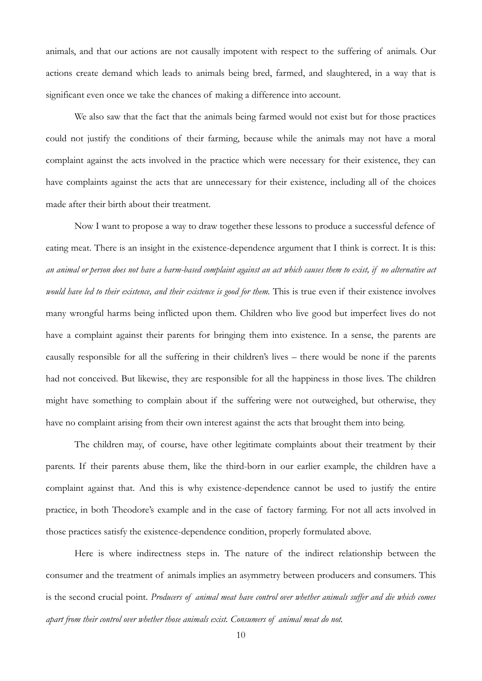animals, and that our actions are not causally impotent with respect to the suffering of animals. Our actions create demand which leads to animals being bred, farmed, and slaughtered, in a way that is significant even once we take the chances of making a difference into account.

We also saw that the fact that the animals being farmed would not exist but for those practices could not justify the conditions of their farming, because while the animals may not have a moral complaint against the acts involved in the practice which were necessary for their existence, they can have complaints against the acts that are unnecessary for their existence, including all of the choices made after their birth about their treatment.

Now I want to propose a way to draw together these lessons to produce a successful defence of eating meat. There is an insight in the existence-dependence argument that I think is correct. It is this: *an animal or person does not have a harm-based complaint against an act which causes them to exist, if no alternative act would have led to their existence, and their existence is good for them.* This is true even if their existence involves many wrongful harms being inflicted upon them. Children who live good but imperfect lives do not have a complaint against their parents for bringing them into existence. In a sense, the parents are causally responsible for all the suffering in their children's lives – there would be none if the parents had not conceived. But likewise, they are responsible for all the happiness in those lives. The children might have something to complain about if the suffering were not outweighed, but otherwise, they have no complaint arising from their own interest against the acts that brought them into being.

The children may, of course, have other legitimate complaints about their treatment by their parents. If their parents abuse them, like the third-born in our earlier example, the children have a complaint against that. And this is why existence-dependence cannot be used to justify the entire practice, in both Theodore's example and in the case of factory farming. For not all acts involved in those practices satisfy the existence-dependence condition, properly formulated above.

Here is where indirectness steps in. The nature of the indirect relationship between the consumer and the treatment of animals implies an asymmetry between producers and consumers. This is the second crucial point. *Producers of animal meat have control over whether animals suffer and die which comes apart from their control over whether those animals exist. Consumers of animal meat do not.*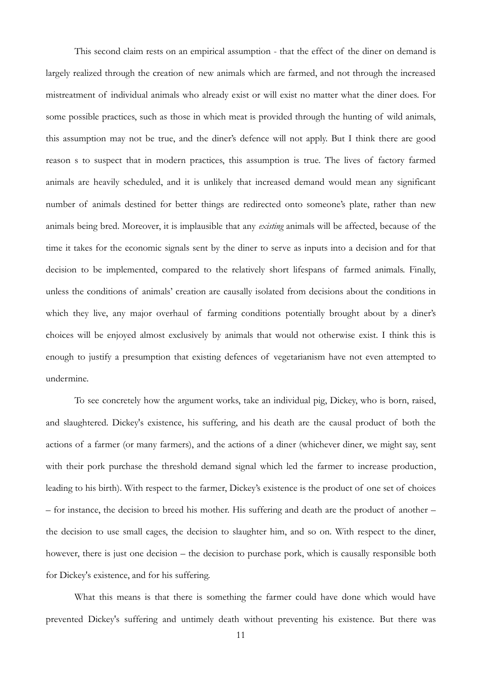This second claim rests on an empirical assumption - that the effect of the diner on demand is largely realized through the creation of new animals which are farmed, and not through the increased mistreatment of individual animals who already exist or will exist no matter what the diner does. For some possible practices, such as those in which meat is provided through the hunting of wild animals, this assumption may not be true, and the diner's defence will not apply. But I think there are good reason s to suspect that in modern practices, this assumption is true. The lives of factory farmed animals are heavily scheduled, and it is unlikely that increased demand would mean any significant number of animals destined for better things are redirected onto someone's plate, rather than new animals being bred. Moreover, it is implausible that any *existing* animals will be affected, because of the time it takes for the economic signals sent by the diner to serve as inputs into a decision and for that decision to be implemented, compared to the relatively short lifespans of farmed animals. Finally, unless the conditions of animals' creation are causally isolated from decisions about the conditions in which they live, any major overhaul of farming conditions potentially brought about by a diner's choices will be enjoyed almost exclusively by animals that would not otherwise exist. I think this is enough to justify a presumption that existing defences of vegetarianism have not even attempted to undermine.

To see concretely how the argument works, take an individual pig, Dickey, who is born, raised, and slaughtered. Dickey's existence, his suffering, and his death are the causal product of both the actions of a farmer (or many farmers), and the actions of a diner (whichever diner, we might say, sent with their pork purchase the threshold demand signal which led the farmer to increase production, leading to his birth). With respect to the farmer, Dickey's existence is the product of one set of choices – for instance, the decision to breed his mother. His suffering and death are the product of another – the decision to use small cages, the decision to slaughter him, and so on. With respect to the diner, however, there is just one decision – the decision to purchase pork, which is causally responsible both for Dickey's existence, and for his suffering.

What this means is that there is something the farmer could have done which would have prevented Dickey's suffering and untimely death without preventing his existence. But there was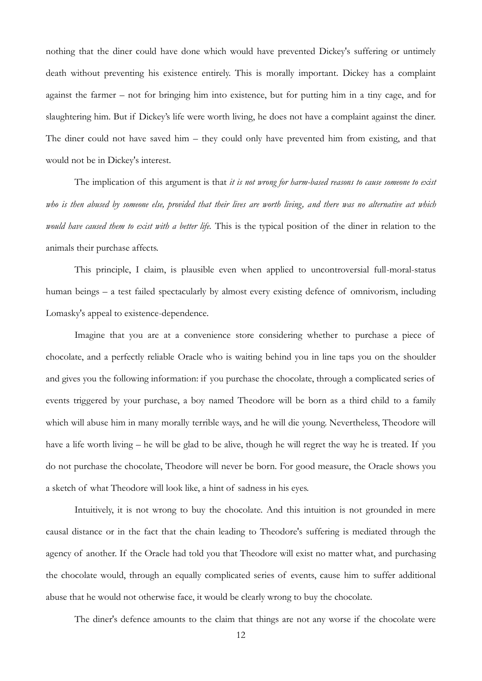nothing that the diner could have done which would have prevented Dickey's suffering or untimely death without preventing his existence entirely. This is morally important. Dickey has a complaint against the farmer – not for bringing him into existence, but for putting him in a tiny cage, and for slaughtering him. But if Dickey's life were worth living, he does not have a complaint against the diner. The diner could not have saved him – they could only have prevented him from existing, and that would not be in Dickey's interest.

The implication of this argument is that *it is not wrong for harm-based reasons to cause someone to exist who is then abused by someone else, provided that their lives are worth living, and there was no alternative act which would have caused them to exist with a better life.* This is the typical position of the diner in relation to the animals their purchase affects.

This principle, I claim, is plausible even when applied to uncontroversial full-moral-status human beings – a test failed spectacularly by almost every existing defence of omnivorism, including Lomasky's appeal to existence-dependence.

Imagine that you are at a convenience store considering whether to purchase a piece of chocolate, and a perfectly reliable Oracle who is waiting behind you in line taps you on the shoulder and gives you the following information: if you purchase the chocolate, through a complicated series of events triggered by your purchase, a boy named Theodore will be born as a third child to a family which will abuse him in many morally terrible ways, and he will die young. Nevertheless, Theodore will have a life worth living – he will be glad to be alive, though he will regret the way he is treated. If you do not purchase the chocolate, Theodore will never be born. For good measure, the Oracle shows you a sketch of what Theodore will look like, a hint of sadness in his eyes.

Intuitively, it is not wrong to buy the chocolate. And this intuition is not grounded in mere causal distance or in the fact that the chain leading to Theodore's suffering is mediated through the agency of another. If the Oracle had told you that Theodore will exist no matter what, and purchasing the chocolate would, through an equally complicated series of events, cause him to suffer additional abuse that he would not otherwise face, it would be clearly wrong to buy the chocolate.

The diner's defence amounts to the claim that things are not any worse if the chocolate were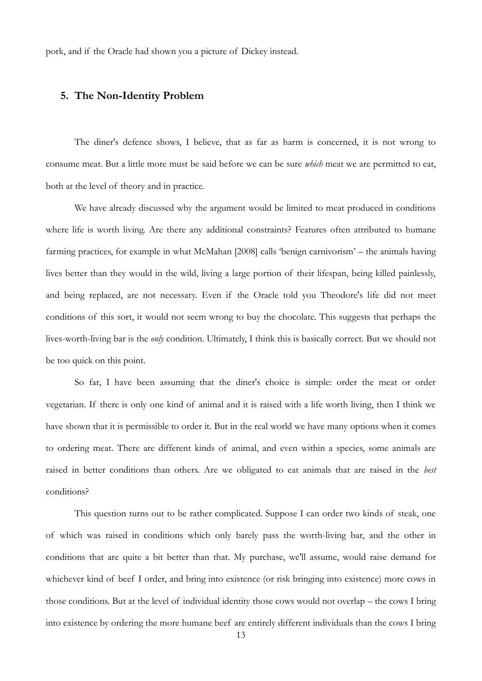pork, and if the Oracle had shown you a picture of Dickey instead.

#### **5. The Non-Identity Problem**

The diner's defence shows, I believe, that as far as harm is concerned, it is not wrong to consume meat. But a little more must be said before we can be sure *which* meat we are permitted to eat, both at the level of theory and in practice.

We have already discussed why the argument would be limited to meat produced in conditions where life is worth living. Are there any additional constraints? Features often attributed to humane farming practices, for example in what McMahan [2008] calls 'benign carnivorism' – the animals having lives better than they would in the wild, living a large portion of their lifespan, being killed painlessly, and being replaced, are not necessary. Even if the Oracle told you Theodore's life did not meet conditions of this sort, it would not seem wrong to buy the chocolate. This suggests that perhaps the lives-worth-living bar is the *only* condition. Ultimately, I think this is basically correct. But we should not be too quick on this point.

So far, I have been assuming that the diner's choice is simple: order the meat or order vegetarian. If there is only one kind of animal and it is raised with a life worth living, then I think we have shown that it is permissible to order it. But in the real world we have many options when it comes to ordering meat. There are different kinds of animal, and even within a species, some animals are raised in better conditions than others. Are we obligated to eat animals that are raised in the *best*  conditions?

This question turns out to be rather complicated. Suppose I can order two kinds of steak, one of which was raised in conditions which only barely pass the worth-living bar, and the other in conditions that are quite a bit better than that. My purchase, we'll assume, would raise demand for whichever kind of beef I order, and bring into existence (or risk bringing into existence) more cows in those conditions. But at the level of individual identity those cows would not overlap – the cows I bring into existence by ordering the more humane beef are entirely different individuals than the cows I bring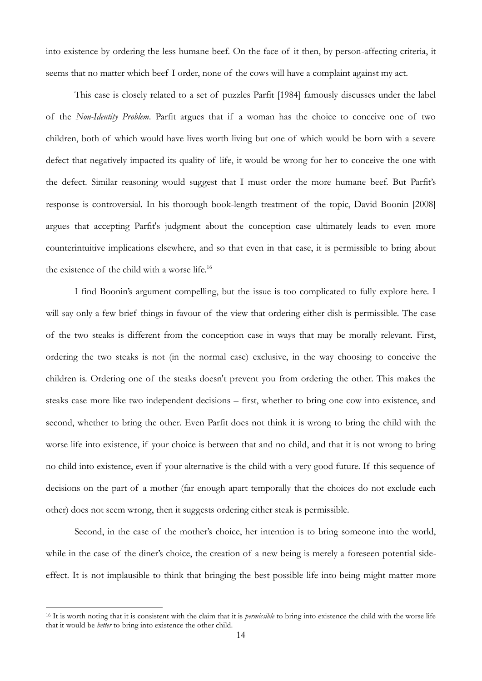into existence by ordering the less humane beef. On the face of it then, by person-affecting criteria, it seems that no matter which beef I order, none of the cows will have a complaint against my act.

This case is closely related to a set of puzzles Parfit [1984] famously discusses under the label of the *Non-Identity Problem*. Parfit argues that if a woman has the choice to conceive one of two children, both of which would have lives worth living but one of which would be born with a severe defect that negatively impacted its quality of life, it would be wrong for her to conceive the one with the defect. Similar reasoning would suggest that I must order the more humane beef. But Parfit's response is controversial. In his thorough book-length treatment of the topic, David Boonin [2008] argues that accepting Parfit's judgment about the conception case ultimately leads to even more counterintuitive implications elsewhere, and so that even in that case, it is permissible to bring about the existence of the child with a worse life.<sup>16</sup>

I find Boonin's argument compelling, but the issue is too complicated to fully explore here. I will say only a few brief things in favour of the view that ordering either dish is permissible. The case of the two steaks is different from the conception case in ways that may be morally relevant. First, ordering the two steaks is not (in the normal case) exclusive, in the way choosing to conceive the children is. Ordering one of the steaks doesn't prevent you from ordering the other. This makes the steaks case more like two independent decisions – first, whether to bring one cow into existence, and second, whether to bring the other. Even Parfit does not think it is wrong to bring the child with the worse life into existence, if your choice is between that and no child, and that it is not wrong to bring no child into existence, even if your alternative is the child with a very good future. If this sequence of decisions on the part of a mother (far enough apart temporally that the choices do not exclude each other) does not seem wrong, then it suggests ordering either steak is permissible.

Second, in the case of the mother's choice, her intention is to bring someone into the world, while in the case of the diner's choice, the creation of a new being is merely a foreseen potential sideeffect. It is not implausible to think that bringing the best possible life into being might matter more

<sup>16</sup> It is worth noting that it is consistent with the claim that it is *permissible* to bring into existence the child with the worse life that it would be *better* to bring into existence the other child.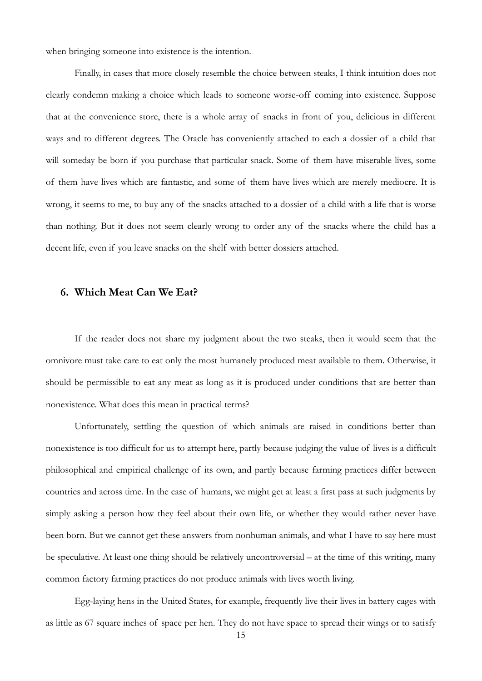when bringing someone into existence is the intention.

Finally, in cases that more closely resemble the choice between steaks, I think intuition does not clearly condemn making a choice which leads to someone worse-off coming into existence. Suppose that at the convenience store, there is a whole array of snacks in front of you, delicious in different ways and to different degrees. The Oracle has conveniently attached to each a dossier of a child that will someday be born if you purchase that particular snack. Some of them have miserable lives, some of them have lives which are fantastic, and some of them have lives which are merely mediocre. It is wrong, it seems to me, to buy any of the snacks attached to a dossier of a child with a life that is worse than nothing. But it does not seem clearly wrong to order any of the snacks where the child has a decent life, even if you leave snacks on the shelf with better dossiers attached.

## **6. Which Meat Can We Eat?**

If the reader does not share my judgment about the two steaks, then it would seem that the omnivore must take care to eat only the most humanely produced meat available to them. Otherwise, it should be permissible to eat any meat as long as it is produced under conditions that are better than nonexistence. What does this mean in practical terms?

Unfortunately, settling the question of which animals are raised in conditions better than nonexistence is too difficult for us to attempt here, partly because judging the value of lives is a difficult philosophical and empirical challenge of its own, and partly because farming practices differ between countries and across time. In the case of humans, we might get at least a first pass at such judgments by simply asking a person how they feel about their own life, or whether they would rather never have been born. But we cannot get these answers from nonhuman animals, and what I have to say here must be speculative. At least one thing should be relatively uncontroversial – at the time of this writing, many common factory farming practices do not produce animals with lives worth living.

Egg-laying hens in the United States, for example, frequently live their lives in battery cages with as little as 67 square inches of space per hen. They do not have space to spread their wings or to satisfy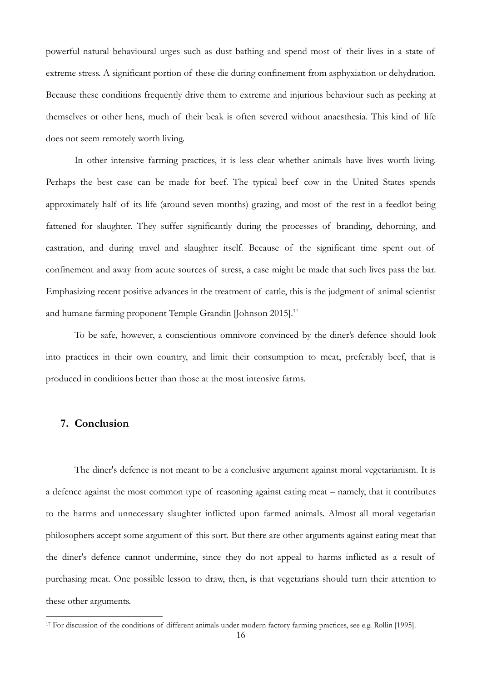powerful natural behavioural urges such as dust bathing and spend most of their lives in a state of extreme stress. A significant portion of these die during confinement from asphyxiation or dehydration. Because these conditions frequently drive them to extreme and injurious behaviour such as pecking at themselves or other hens, much of their beak is often severed without anaesthesia. This kind of life does not seem remotely worth living.

In other intensive farming practices, it is less clear whether animals have lives worth living. Perhaps the best case can be made for beef. The typical beef cow in the United States spends approximately half of its life (around seven months) grazing, and most of the rest in a feedlot being fattened for slaughter. They suffer significantly during the processes of branding, dehorning, and castration, and during travel and slaughter itself. Because of the significant time spent out of confinement and away from acute sources of stress, a case might be made that such lives pass the bar. Emphasizing recent positive advances in the treatment of cattle, this is the judgment of animal scientist and humane farming proponent Temple Grandin [Johnson 2015].<sup>17</sup>

To be safe, however, a conscientious omnivore convinced by the diner's defence should look into practices in their own country, and limit their consumption to meat, preferably beef, that is produced in conditions better than those at the most intensive farms.

## **7. Conclusion**

1

The diner's defence is not meant to be a conclusive argument against moral vegetarianism. It is a defence against the most common type of reasoning against eating meat – namely, that it contributes to the harms and unnecessary slaughter inflicted upon farmed animals. Almost all moral vegetarian philosophers accept some argument of this sort. But there are other arguments against eating meat that the diner's defence cannot undermine, since they do not appeal to harms inflicted as a result of purchasing meat. One possible lesson to draw, then, is that vegetarians should turn their attention to these other arguments.

<sup>17</sup> For discussion of the conditions of different animals under modern factory farming practices, see e.g. Rollin [1995].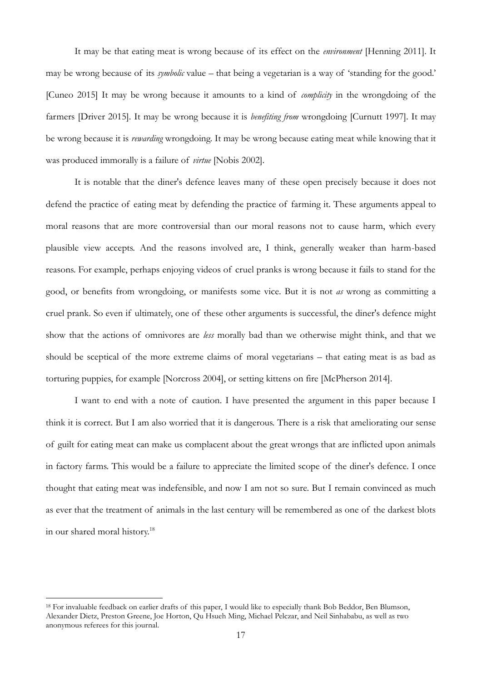It may be that eating meat is wrong because of its effect on the *environment* [Henning 2011]. It may be wrong because of its *symbolic* value – that being a vegetarian is a way of 'standing for the good.' [Cuneo 2015] It may be wrong because it amounts to a kind of *complicity* in the wrongdoing of the farmers [Driver 2015]. It may be wrong because it is *benefiting from* wrongdoing [Curnutt 1997]. It may be wrong because it is *rewarding* wrongdoing. It may be wrong because eating meat while knowing that it was produced immorally is a failure of *virtue* [Nobis 2002].

It is notable that the diner's defence leaves many of these open precisely because it does not defend the practice of eating meat by defending the practice of farming it. These arguments appeal to moral reasons that are more controversial than our moral reasons not to cause harm, which every plausible view accepts. And the reasons involved are, I think, generally weaker than harm-based reasons. For example, perhaps enjoying videos of cruel pranks is wrong because it fails to stand for the good, or benefits from wrongdoing, or manifests some vice. But it is not *as* wrong as committing a cruel prank. So even if ultimately, one of these other arguments is successful, the diner's defence might show that the actions of omnivores are *less* morally bad than we otherwise might think, and that we should be sceptical of the more extreme claims of moral vegetarians – that eating meat is as bad as torturing puppies, for example [Norcross 2004], or setting kittens on fire [McPherson 2014].

I want to end with a note of caution. I have presented the argument in this paper because I think it is correct. But I am also worried that it is dangerous. There is a risk that ameliorating our sense of guilt for eating meat can make us complacent about the great wrongs that are inflicted upon animals in factory farms. This would be a failure to appreciate the limited scope of the diner's defence. I once thought that eating meat was indefensible, and now I am not so sure. But I remain convinced as much as ever that the treatment of animals in the last century will be remembered as one of the darkest blots in our shared moral history.<sup>18</sup>

<sup>18</sup> For invaluable feedback on earlier drafts of this paper, I would like to especially thank Bob Beddor, Ben Blumson, Alexander Dietz, Preston Greene, Joe Horton, Qu Hsueh Ming, Michael Pelczar, and Neil Sinhababu, as well as two anonymous referees for this journal.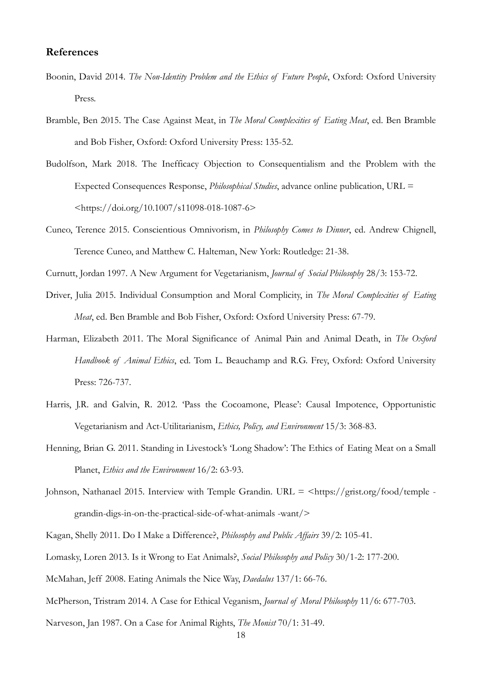#### **References**

- Boonin, David 2014. *The Non-Identity Problem and the Ethics of Future People*, Oxford: Oxford University Press.
- Bramble, Ben 2015. The Case Against Meat, in *The Moral Complexities of Eating Meat*, ed. Ben Bramble and Bob Fisher, Oxford: Oxford University Press: 135-52.
- Budolfson, Mark 2018. The Inefficacy Objection to Consequentialism and the Problem with the Expected Consequences Response, *Philosophical Studies*, advance online publication, URL = <https://doi.org/10.1007/s11098-018-1087-6>
- Cuneo, Terence 2015. Conscientious Omnivorism, in *Philosophy Comes to Dinner*, ed. Andrew Chignell, Terence Cuneo, and Matthew C. Halteman, New York: Routledge: 21-38.

Curnutt, Jordan 1997. A New Argument for Vegetarianism, *Journal of Social Philosophy* 28/3: 153-72.

- Driver, Julia 2015. Individual Consumption and Moral Complicity, in *The Moral Complexities of Eating Meat*, ed. Ben Bramble and Bob Fisher, Oxford: Oxford University Press: 67-79.
- Harman, Elizabeth 2011. The Moral Significance of Animal Pain and Animal Death, in *The Oxford Handbook of Animal Ethics*, ed. Tom L. Beauchamp and R.G. Frey, Oxford: Oxford University Press: 726-737.
- Harris, J.R. and Galvin, R. 2012. 'Pass the Cocoamone, Please': Causal Impotence, Opportunistic Vegetarianism and Act-Utilitarianism, *Ethics, Policy, and Environment* 15/3: 368-83.
- Henning, Brian G. 2011. Standing in Livestock's 'Long Shadow': The Ethics of Eating Meat on a Small Planet, *Ethics and the Environment* 16/2: 63-93.
- Johnson, Nathanael 2015. Interview with Temple Grandin. URL = <https://grist.org/food/temple grandin-digs-in-on-the-practical-side-of-what-animals -want/>
- Kagan, Shelly 2011. Do I Make a Difference?, *Philosophy and Public Affairs* 39/2: 105-41.
- Lomasky, Loren 2013. Is it Wrong to Eat Animals?, *Social Philosophy and Policy* 30/1-2: 177-200.
- McMahan, Jeff 2008. Eating Animals the Nice Way, *Daedalus* 137/1: 66-76.
- McPherson, Tristram 2014. A Case for Ethical Veganism, *Journal of Moral Philosophy* 11/6: 677-703.
- Narveson, Jan 1987. On a Case for Animal Rights, *The Monist* 70/1: 31-49.